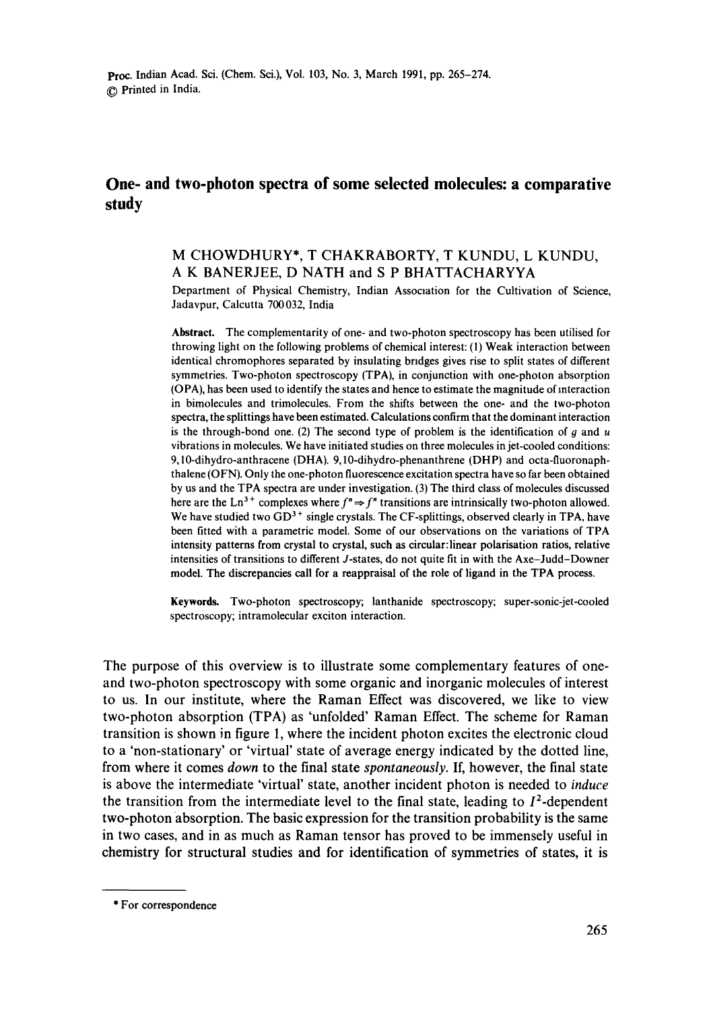# **One- and two-photon spectra of some selected molecules: a comparative study**

# M CHOWDHURY\*, T CHAKRABORTY, T KUNDU, L KUNDU, A K BANERJEE, D NATH and S P BHATTACHARYYA

Department of Physical Chemistry, Indian Association for the Cultivation of Science, Jadavpur, Calcutta 700032, India

**Abstract.** The complementarity of one- and two-photon spectroscopy has been utilised for throwing light on the following problems of chemical interest: (1) Weak interaction between identical chromophores separated by insulating bridges gives rise to split states of different symmetries. Two-photon spectroscopy (TPA), in conjunction with one-photon absorption (OPA), has been used to identify the states and hence to estimate the magnitude of interaction in bimolecules and trimolecules. From the shifts between the one- and the two-photon spectra, the splittings have been estimated. Calculations confirm that the dominant interaction is the through-bond one. (2) The second type of problem is the identification of  $g$  and  $u$ vibrations in molecules. We have initiated studies on three molecules in jet-cooled conditions: 9,10-dihydro-anthracene (DHA). 9,10-dihydro-phenanthrene (DHP) and octa-fluoronaphthalene (OFN). Only the one-photon fluorescence excitation spectra have so far been obtained by us and the TPA spectra are under investigation. (3) The third class of molecules discussed here are the Ln<sup>3+</sup> complexes where  $f'' \Rightarrow f''$  transitions are intrinsically two-photon allowed. We have studied two  $GD^{3+}$  single crystals. The CF-splittings, observed clearly in TPA, have been fitted with a parametric model. Some of our observations on the variations of TPA intensity patterns from crystal to crystal, such as circular:linear polarisation ratios, relative intensities of transitions to different J-states, do not quite fit in with the Axe-Judd-Downer model. The discrepancies call for a reappraisal of the role of ligand in the TPA process.

Keywords. Two-photon spectroscopy; lanthanide spectroscopy; super-sonic-jet-cooled spectroscopy; intramolecular exciton interaction.

The purpose of this overview is to illustrate some complementary features of oneand two-photon spectroscopy with some organic and inorganic molecules of interest to us. In our institute, where the Raman Effect was discovered, we like to view two-photon absorption (TPA) as 'unfolded' Raman Effect. The scheme for Raman transition is shown in figure 1, where the incident photon excites the electronic cloud to a 'non-stationary' or 'virtual' state of average energy indicated by the dotted line, from where it comes *down* to the final state *spontaneously.* If, however, the final state is above the intermediate 'virtual' state, another incident photon is needed to *induce*  the transition from the intermediate level to the final state, leading to  $I^2$ -dependent two-photon 'absorption. The basic expression for the transition probability is the same in two cases, and in as much as Raman tensor has proved to be immensely useful in chemistry for structural studies and for identification of symmetries of states, it is

<sup>\*</sup> For correspondence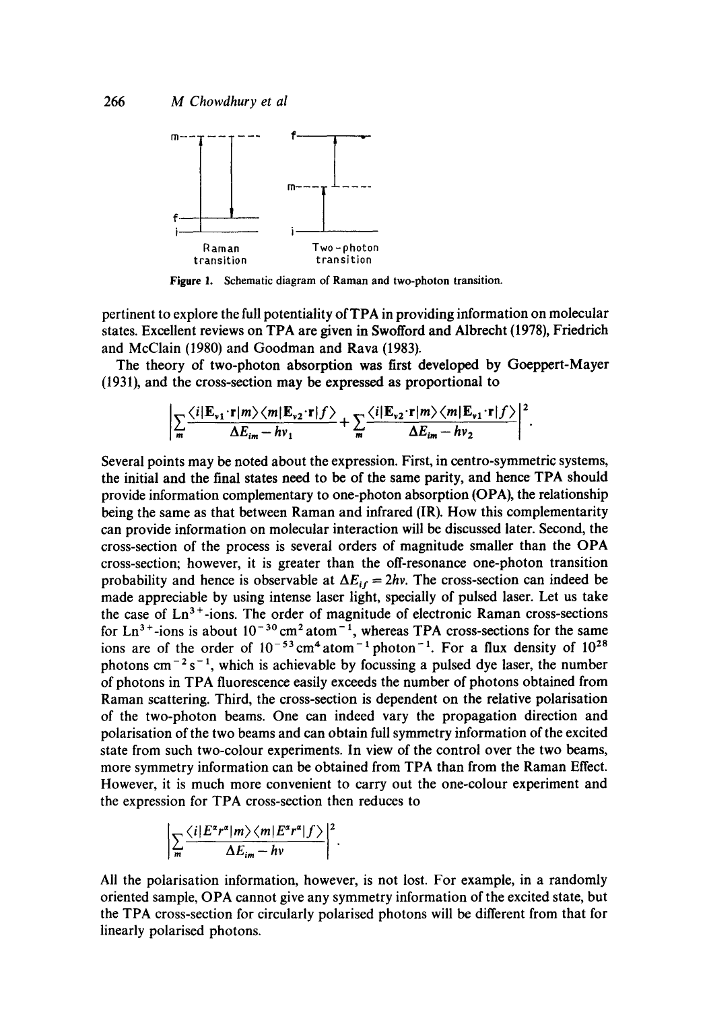

Figure 1. Schematic diagram of Raman and two-photon transition.

pertinent to explore the full potentiality of TPA in providing information on molecular states. Excellent reviews on TPA are given in Swofford and Albrecht (1978), Friedrich and McClain (1980) and Goodman and Rava (1983).

The theory of two-photon absorption was first developed by Goeppert-Mayer (1931), and the cross-section may be expressed as proportional to

$$
\left|\sum_{m}\frac{\langle i|\mathbf{E}_{\nu 1}\cdot\mathbf{r}|m\rangle\langle m|\mathbf{E}_{\nu 2}\cdot\mathbf{r}|f\rangle}{\Delta E_{im}-h\nu_{1}}+\sum_{m}\frac{\langle i|\mathbf{E}_{\nu 2}\cdot\mathbf{r}|m\rangle\langle m|\mathbf{E}_{\nu 1}\cdot\mathbf{r}|f\rangle}{\Delta E_{im}-h\nu_{2}}\right|^{2}
$$

Several points may be noted about the expression. First, in centro-symmetric systems, the initial and the final states need to be of the same parity, and hence TPA should provide information complementary to one-photon absorption (OPA), the relationship being the same as that between Raman and infrared (IR). How this complementarity can provide information on molecular interaction will be discussed later. Second, the cross-section of the process is several orders of magnitude smaller than the OPA cross-section; however, it is greater than the off-resonance one-photon transition probability and hence is observable at  $\Delta E_{if} = 2hv$ . The cross-section can indeed be made appreciable by using intense laser light, specially of pulsed laser. Let us take the case of  $Ln<sup>3+</sup> -ions$ . The order of magnitude of electronic Raman cross-sections for Ln<sup>3+</sup>-ions is about  $10^{-30}$  cm<sup>2</sup> atom<sup>-1</sup>, whereas TPA cross-sections for the same ions are of the order of  $10^{-53}$  cm<sup>4</sup> atom<sup>-1</sup> photon<sup>-1</sup>. For a flux density of  $10^{28}$ photons cm<sup>-2</sup> s<sup>-1</sup>, which is achievable by focussing a pulsed dye laser, the number of photons in TPA fluorescence easily exceeds the number of photons obtained from Raman scattering. Third, the cross-section is dependent on the relative polarisation of the two-photon beams. One can indeed vary the propagation direction and polarisation of the two beams and can obtain full symmetry information of the excited state from such two-colour experiments. In view of the control over the two beams, more symmetry information can be obtained from TPA than from the Raman Effect. However, it is much more convenient to carry out the one-colour experiment and the expression for TPA cross-section then reduces to

$$
\left|\sum_{m}\frac{\langle i|E^{\alpha}r^{\alpha}|m\rangle\langle m|E^{\alpha}r^{\alpha}|f\rangle}{\Delta E_{im}-h\nu}\right|^{2}.
$$

All the polarisation information, however, is not lost. For example, in a randomly oriented sample, OPA cannot give any symmetry information of the excited state, but the TPA cross-section for circularly polarised photons will be different from that for linearly polarised photons.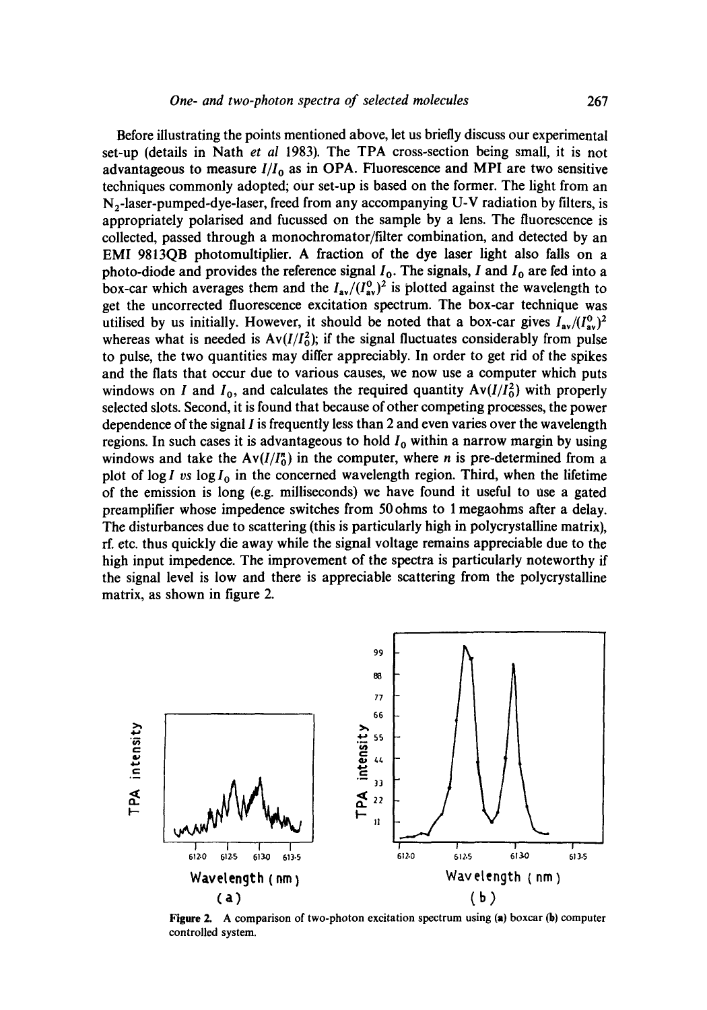Before illustrating the points mentioned above, let us briefly discuss our experimental set-up (details in Nath *et al* 1983). The TPA cross-section being small, it is not advantageous to measure  $I/I_0$  as in OPA. Fluorescence and MPI are two sensitive techniques commonly adopted; our set-up is based on the former. The light from an N2-1aser-pumped-dye-laser, freed from any accompanying U-V radiation by filters, is appropriately polarised and fucussed on the sample by a lens. The fluorescence is collected, passed through a monochromator/filter combination, and detected by an EMI 9813QB photomultiplier. A fraction of the dye laser light also falls on a photo-diode and provides the reference signal  $I_0$ . The signals, I and  $I_0$  are fed into a box-car which averages them and the  $I_{av}/(I_{av}^0)^2$  is plotted against the wavelength to get the uncorrected fluorescence excitation spectrum. The box-car technique was utilised by us initially. However, it should be noted that a box-car gives  $I_{av}/(I_{av}^0)^2$ whereas what is needed is  $Av(I/I_0^2)$ ; if the signal fluctuates considerably from pulse to pulse, the two quantities may differ appreciably. In order to get rid of the spikes and the fiats that occur due to various causes, we now use a computer which puts windows on I and  $I_0$ , and calculates the required quantity  $Av(I/I_0^2)$  with properly selected slots. Second, it is found that because of other competing processes, the power dependence of the signal I is frequently less than 2 and even varies over the wavelength regions. In such cases it is advantageous to hold  $I_0$  within a narrow margin by using windows and take the  $Av(I/I_0^n)$  in the computer, where *n* is pre-determined from a plot of  $\log I$  vs  $\log I_0$  in the concerned wavelength region. Third, when the lifetime of the emission is long (e.g. milliseconds) we have found it useful to use a gated preamplifier whose impedence switches from 50 ohms to 1 megaohms after a delay. The disturbances due to scattering (this is particularly high in polycrystalline matrix), rf. etc. thus quickly die away while the signal voltage remains appreciable due to the high input impedence. The improvement of the spectra is particularly noteworthy if the signal level is low and there is appreciable scattering from the polycrystalline matrix, as shown in figure 2.



**Figure 2.** A comparison of two-photon excitation spectrum using (a) boxcar (b) computer controlled system.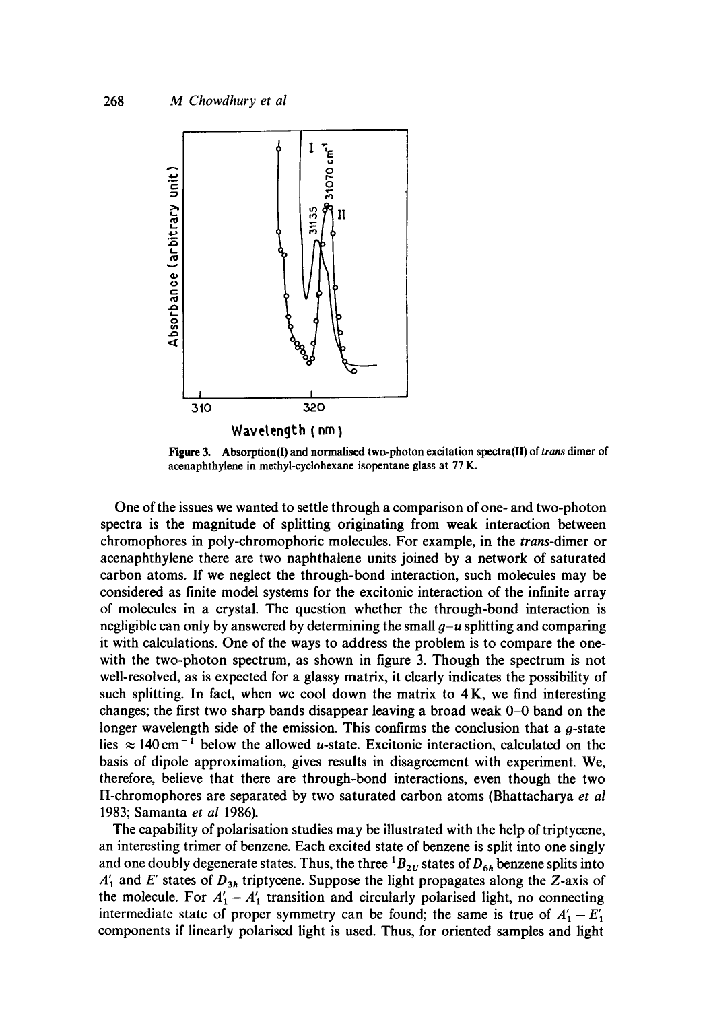

**Figure 3.** Absorption(I) and normalised two-photon excitation spectra(II) of *trans* dimer of acenaphthylene in methyl-cyclohexane isopentane glass at 77 K.

One of the issues we wanted to settle through a comparison of one- and two-photon spectra is the magnitude of splitting originating from weak interaction between chromophores in poly-chromophoric molecules. For example, in the *trans-dimer* or acenaphthylene there are two naphthalene units joined by a network of saturated carbon atoms. If we neglect the through-bond interaction, such molecules may be considered as finite model systems for the excitonic interaction of the infinite array of molecules in a crystal. The question whether the through-bond interaction is negligible can only by answered by determining the small  $g-u$  splitting and comparing it with calculations. One of the ways to address the problem is to compare the onewith the two-photon spectrum, as shown in figure 3. Though the spectrum is not well-resolved, as is expected for a glassy matrix, it clearly indicates the possibility of such splitting. In fact, when we cool down the matrix to  $4K$ , we find interesting changes; the first two sharp bands disappear leaving a broad weak 0-0 band on the longer wavelength side of the emission. This confirms the conclusion that a  $q$ -state lies  $\approx 140 \text{ cm}^{-1}$  below the allowed *u*-state. Excitonic interaction, calculated on the basis of dipole approximation, gives results in disagreement with experiment. We, therefore, believe that there are through-bond interactions, even though the two II-chromophores are separated by two saturated carbon atoms (Bhattacharya et al 1983; Samanta *et al* 1986).

The capability of polarisation studies may be illustrated with the help of triptycene, an interesting trimer of benzene. Each excited state of benzene is split into one singly and one doubly degenerate states. Thus, the three  ${}^{1}B_{2U}$  states of  $D_{6h}$  benzene splits into  $A'_1$  and E' states of  $D_{3h}$  triptycene. Suppose the light propagates along the Z-axis of the molecule. For  $A'_1 - A'_1$  transition and circularly polarised light, no connecting intermediate state of proper symmetry can be found; the same is true of  $A'_1 - E'_1$ components if linearly polarised light is used. Thus, for oriented samples and light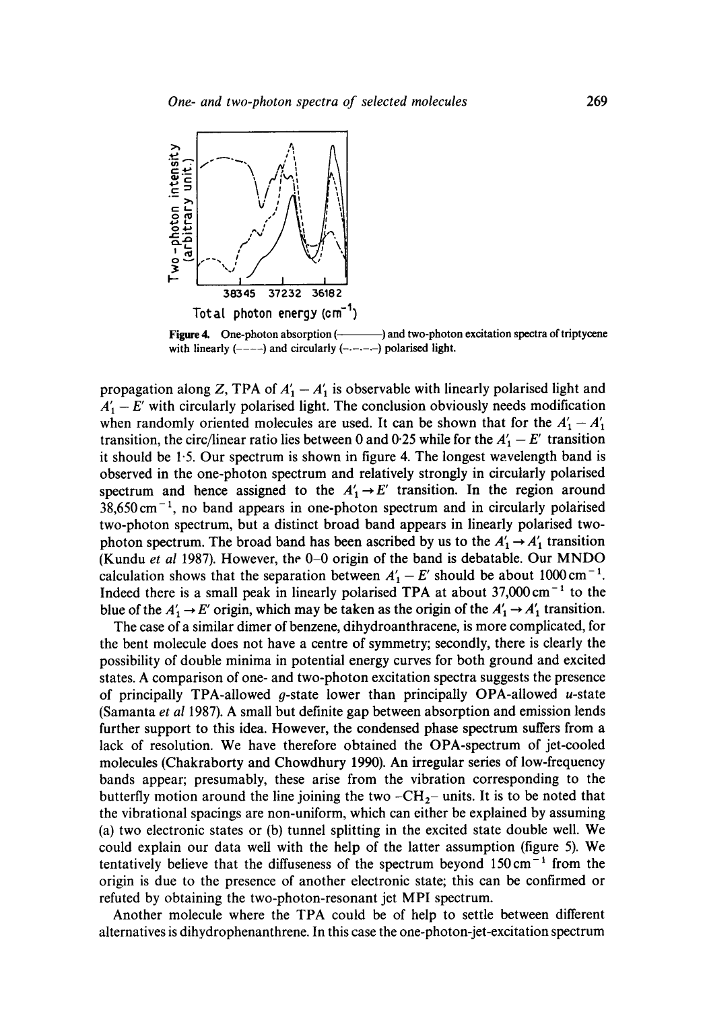

Figure 4. One-photon absorption (——————) and two-photon excitation spectra of triptycene with linearly  $(----)$  and circularly  $(----)$  polarised light.

propagation along Z, TPA of  $A'_1 - A'_1$  is observable with linearly polarised light and  $A'_1 - E'$  with circularly polarised light. The conclusion obviously needs modification when randomly oriented molecules are used. It can be shown that for the  $A'_1 - A'_1$ transition, the circ/linear ratio lies between 0 and 0.25 while for the  $A'_1 - E'$  transition it should be 1.5. Our spectrum is shown in figure 4. The longest wavelength band is observed in the one-photon spectrum and relatively strongly in circularly polarised spectrum and hence assigned to the  $A'_1 \rightarrow E'$  transition. In the region around  $38,650 \text{ cm}^{-1}$ , no band appears in one-photon spectrum and in circularly polarised two-photon spectrum, but a distinct broad band appears in linearly polarised twophoton spectrum. The broad band has been ascribed by us to the  $A'_1 \rightarrow A'_1$  transition (Kundu *et al* 1987). However, the 0-0 origin of the band is debatable. Our MNDO calculation shows that the separation between  $A'_1 - E'$  should be about 1000 cm<sup>-1</sup>. Indeed there is a small peak in linearly polarised TPA at about  $37,000 \text{ cm}^{-1}$  to the blue of the  $A'_1 \rightarrow E'$  origin, which may be taken as the origin of the  $A'_1 \rightarrow A'_1$  transition.

The case of a similar dimer of benzene, dihydroanthracene, is more complicated, for the bent molecule does not have a centre of symmetry; secondly, there is clearly the possibility of double minima in potential energy curves for both ground and excited states. A comparison of one- and two-photon excitation spectra suggests the presence of principally TPA-allowed *q*-state lower than principally OPA-allowed *u*-state (Samanta *et al* 1987). A small but definite gap between absorption and emission lends further support to this idea. However, the condensed phase spectrum suffers from a lack of resolution. We have therefore obtained the OPA-spectrum of jet-cooled molecules (Chakraborty and Chowdhury 1990). An irregular series of low-frequency bands appear; presumably, these arise from the vibration corresponding to the butterfly motion around the line joining the two  $-CH_2$ - units. It is to be noted that the vibrational spacings are non-uniform, which can either be explained by assuming (a) two electronic states or (b) tunnel splitting in the excited state double well. We could explain our data well with the help of the latter assumption (figure 5). We tentatively believe that the diffuseness of the spectrum beyond  $150 \text{ cm}^{-1}$  from the origin is due to the presence of another electronic state; this can be confirmed or refuted by obtaining the two-photon-resonant jet MPI spectrum.

Another molecule where the TPA could be of help to settle between different alternatives is dihydrophenanthrene. In this case the one-photon-jet-excitation spectrum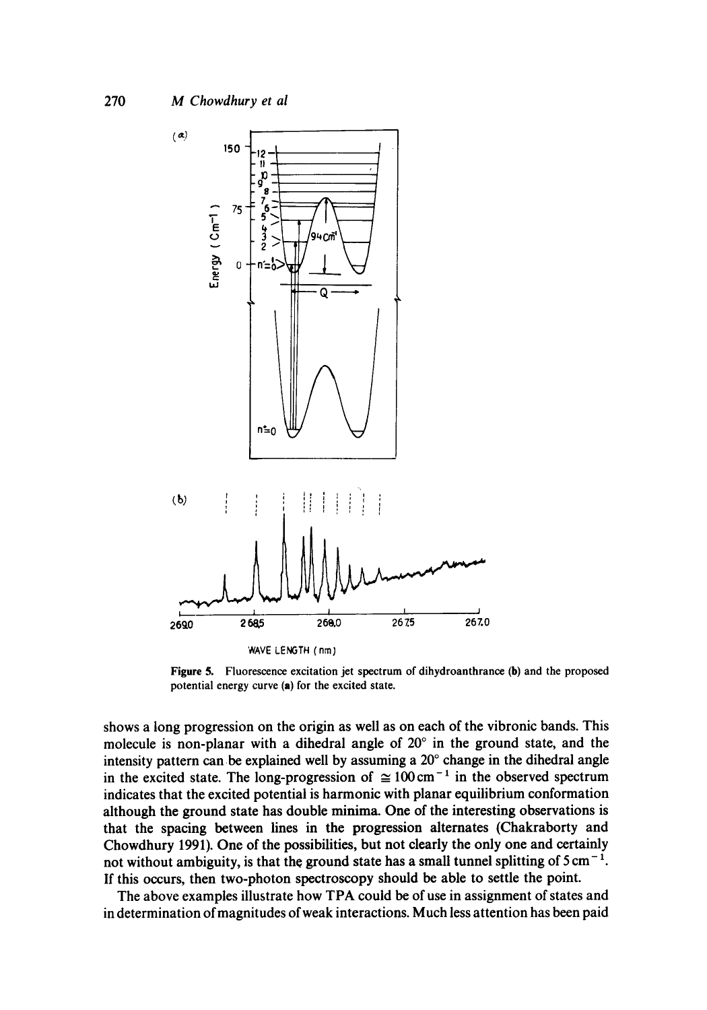

WAVE LENGTH (nm)

**Figure** 5. Fluorescence excitation jet spectrum of dihydroanthrance (b) and the proposed potential energy curve (a) for the excited state.

shows a long progression on the origin as well as on each of the vibronic bands. This molecule is non-planar with a dihedral angle of  $20^{\circ}$  in the ground state, and the intensity pattern can be explained well by assuming a  $20^{\circ}$  change in the dihedral angle in the excited state. The long-progression of  $\approx 100 \text{ cm}^{-1}$  in the observed spectrum indicates that the excited potential is harmonic with planar equilibrium conformation although the ground state has double minima. One of the interesting observations is that the spacing between lines in the progression alternates (Chakraborty and Chowdhury 1991). One of the possibilities, but not dearly the only one and certainly not without ambiguity, is that the ground state has a small tunnel splitting of  $5 \text{ cm}^{-1}$ . If this occurs, then two-photon spectroscopy should be able to settle the point.

The above examples illustrate how TPA could be of use in assignment of states and in determination of magnitudes of weak interactions. Much less attention has been paid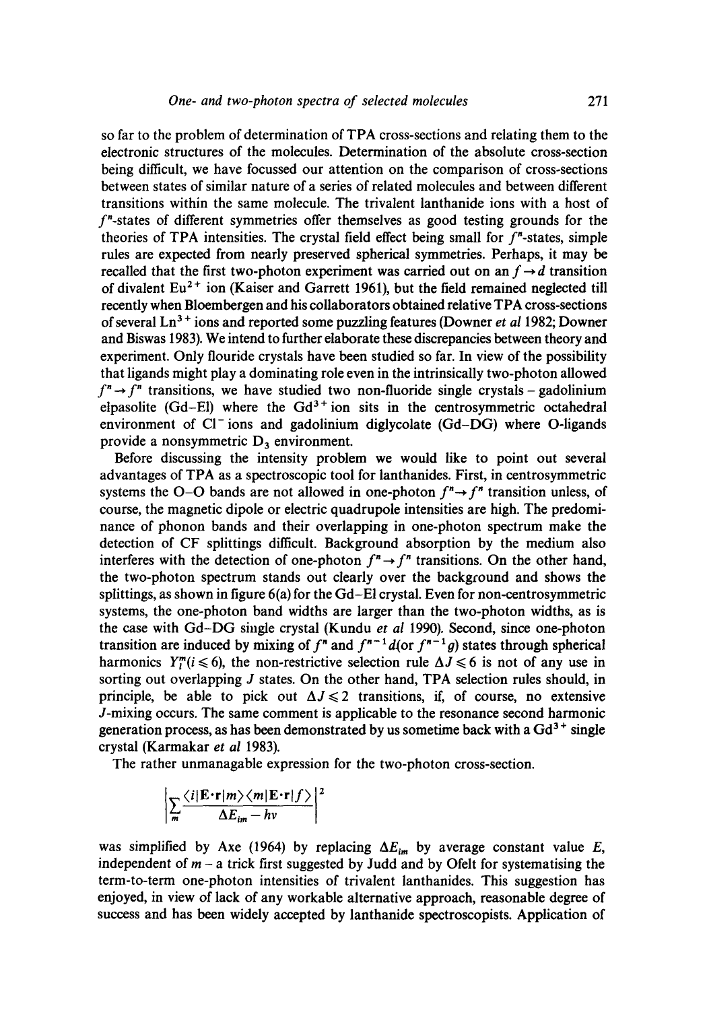so far to the problem of determination of TPA cross-sections and relating them to the electronic structures of the molecules. Determination of the absolute cross-section being difficult, we have focussed our attention on the comparison of cross-sections between states of similar nature of a series of related molecules and between different transitions within the same molecule. The trivalent lanthanide ions with a host of f"-states of different symmetries offer themselves as good testing grounds for the theories of TPA intensities. The crystal field effect being small for  $f^*$ -states, simple rules are expected from nearly preserved spherical symmetries. Perhaps, it may be recalled that the first two-photon experiment was carried out on an  $f \rightarrow d$  transition of divalent  $Eu<sup>2+</sup>$  ion (Kaiser and Garrett 1961), but the field remained neglected till recently when Bloembergen and his collaborators obtained relative TPA cross-sections of several Ln 3 § ions and reported some puzzling features (Downer *et al* 1982; Downer and Biswas 1983). We intend to further elaborate these discrepancies between theory and experiment. Only flouride crystals have been studied so far. In view of the possibility that ligands might play a dominating role even in the intrinsically two-photon allowed  $f^{n} \rightarrow f^{n}$  transitions, we have studied two non-fluoride single crystals – gadolinium elpasolite (Gd-El) where the  $Gd^{3+}$  ion sits in the centrosymmetric octahedral environment of CI-ions and gadolinium diglycolate (Gd-DG) where O-ligands provide a nonsymmetric  $D_3$  environment.

Before discussing the intensity problem we would like to point out several advantages of TPA as a spectroscopic tool for lanthanides. First, in centrosymmetric systems the O-O bands are not allowed in one-photon  $f'' \rightarrow f''$  transition unless, of course, the magnetic dipole or electric quadrupole intensities are high. The predominance of phonon bands and their overlapping in one-photon spectrum make the detection of CF splittings difficult. Background absorption by the medium also interferes with the detection of one-photon  $f'' \rightarrow f''$  transitions. On the other hand, the two-photon spectrum stands out clearly over the background and shows the splittings, as shown in figure 6(a) for the Gd-EI crystal. Even for non-centrosymmetric systems, the one-photon band widths are larger than the two-photon widths, as is the case with Gd-DG single crystal (Kundu *et al* 1990). Second, since one-photon transition are induced by mixing of  $f<sup>n</sup>$  and  $f<sup>n-1</sup> d$  (or  $f<sup>n-1</sup> g$ ) states through spherical harmonics  $Y_l^m(i \leq 6)$ , the non-restrictive selection rule  $\Delta J \leq 6$  is not of any use in sorting out overlapping *J* states. On the other hand, TPA selection rules should, in principle, be able to pick out  $\Delta J \leq 2$  transitions, if, of course, no extensive J-mixing occurs. The same comment is applicable to the resonance second harmonic generation process, as has been demonstrated by us sometime back with a  $Gd^{3+}$  single crystal (Karmakar *et al* 1983).

The rather unmanagable expression for the two-photon cross-section.

$$
\left|\sum_{m}\frac{\langle i|\mathbf{E}\cdot\mathbf{r}|m\rangle\langle m|\mathbf{E}\cdot\mathbf{r}|f\rangle}{\Delta E_{im}-hv}\right|^{2}
$$

was simplified by Axe (1964) by replacing  $\Delta E_{im}$  by average constant value E, independent of  $m - a$  trick first suggested by Judd and by Ofelt for systematising the term-to-term one-photon intensities of trivalent lanthanides. This suggestion has enjoyed, in view of lack of any workable alternative approach, reasonable degree of success and has been widely accepted by lanthanide spectroscopists. Application of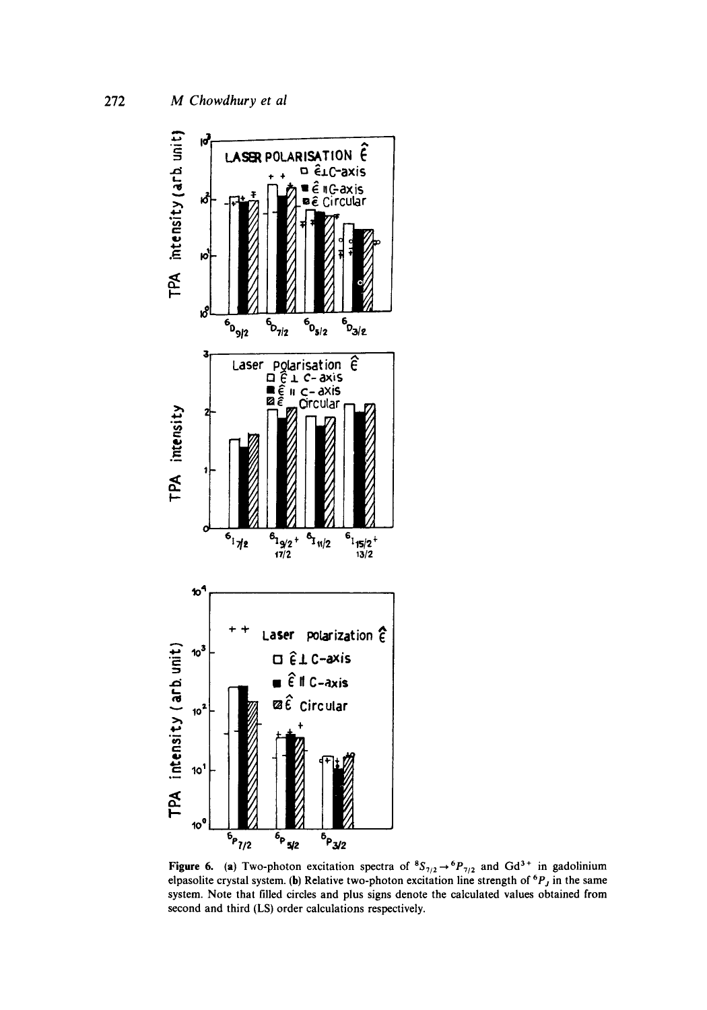

Figure 6. (a) Two-photon excitation spectra of  ${}^8S_{7/2} \rightarrow {}^6P_{7/2}$  and Gd<sup>3+</sup> in gadolinium elpasolite crystal system. (b) Relative two-photon excitation line strength of  ${}^6P_J$  in the same system. Note that filled circles and plus signs denote the calculated values obtained from second and third (LS) order calculations respectively.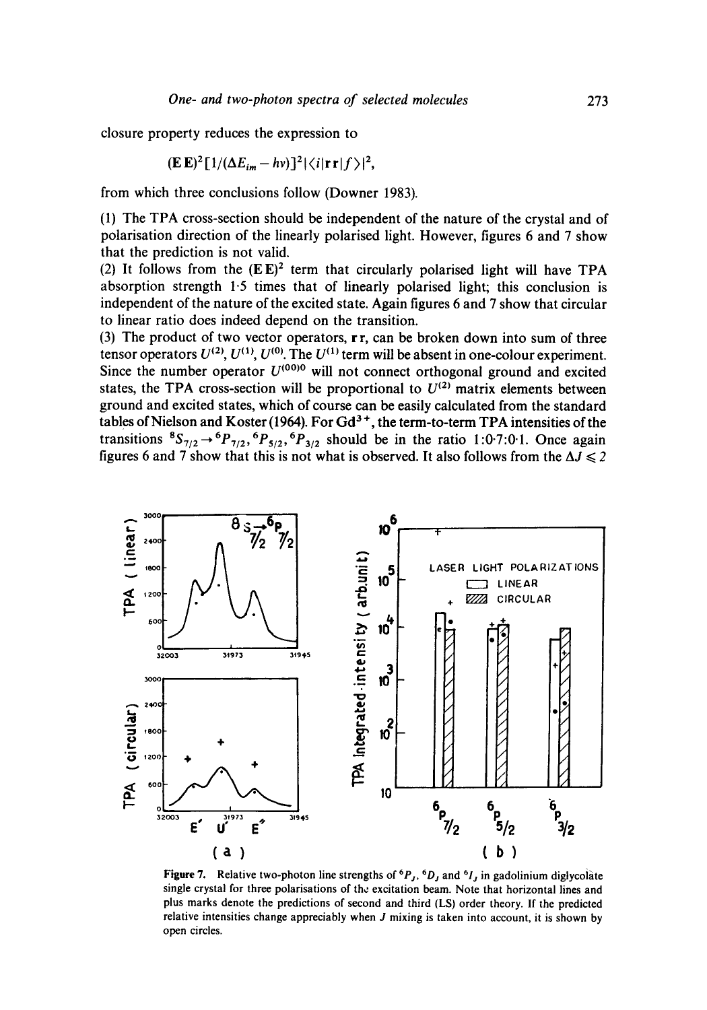**closure property reduces the expression to** 

$$
(\mathbf{E}\,\mathbf{E})^2\big[1/(\Delta E_{im} - h\nu)\big]^2|\langle i|\mathbf{r}\,\mathbf{r}|f\rangle|^2,
$$

**from which three conclusions follow (Downer 1983).** 

**(1) The TPA cross-section should be independent of the nature of the crystal and of polarisation direction of the linearly polarised light. However, figures 6 and 7 show that the prediction is not valid.** 

(2) It follows from the  $(EE)^2$  term that circularly polarised light will have TPA **absorption strength 1.5 times that of linearly polarised light; this conclusion is independent of the nature of the excited state. Again figures 6 and 7 show that circular to linear ratio does indeed depend on the transition.** 

**(3) The product of two vector operators, r r, can be broken down into sum of three**  tensor operators  $U^{(2)}$ ,  $U^{(1)}$ ,  $U^{(0)}$ . The  $U^{(1)}$  term will be absent in one-colour experiment. Since the number operator  $U^{(00)0}$  will not connect orthogonal ground and excited states, the TPA cross-section will be proportional to  $U^{(2)}$  matrix elements between **ground and excited states, which of course can be easily calculated from the standard**  tables of Nielson and Koster (1964). For Gd<sup>3+</sup>, the term-to-term TPA intensities of the **transitions**  ${}^8S_{7/2} \rightarrow {}^6P_{7/2}$ ,  ${}^6P_{5/2}$ ,  ${}^6P_{3/2}$  should be in the ratio 1:0-7:0 1. Once again figures 6 and 7 show that this is not what is observed. It also follows from the  $\Delta J \leq 2$ 



**Figure 7.** Relative two-photon line strengths of  ${}^6P_J$ ,  ${}^6D_J$  and  ${}^6I_J$  in gadolinium diglycolate **single crystal for three polarisations of the excitation beam. Note that horizontal lines and plus marks denote the predictions of second and third (LS) order theory. If the predicted relative intensities change appreciably when J mixing is taken into account, it is shown by open circles.**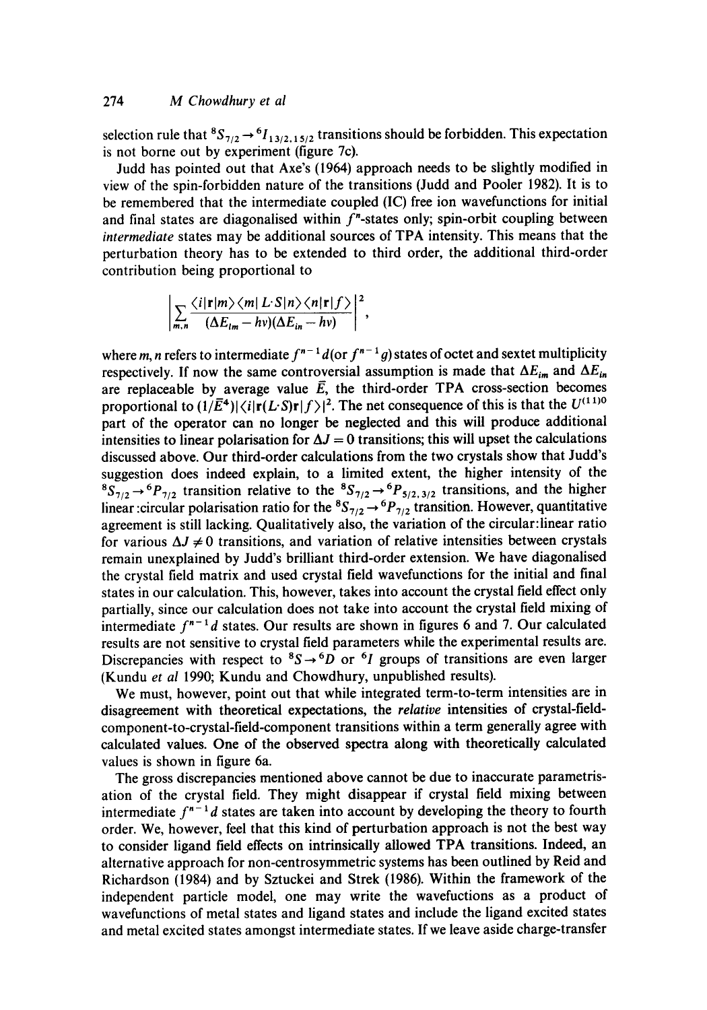### 274 *M Chowdhury et al*

selection rule that  ${}^8S_{7/2} \rightarrow {}^6I_{13/2,15/2}$  transitions should be forbidden. This expectation is not borne out by experiment (figure 7c).

Judd has pointed out that Axe's (1964) approach needs to be slightly modified in view of the spin-forbidden nature of the transitions (Judd and Pooler 1982). It is to be remembered that the intermediate coupled (IC) free ion wavefunctions for initial and final states are diagonalised within  $f''$ -states only; spin-orbit coupling between *intermediate* states may be additional sources of TPA intensity. This means that the perturbation theory has to be extended to third order, the additional third-order contribution being proportional to

$$
\left|\sum_{m,n}\frac{\langle i|\mathbf{r}|m\rangle\langle m|L\cdot S|n\rangle\langle n|\mathbf{r}|f\rangle}{(\Delta E_{lm}-hv)(\Delta E_{in}-hv)}\right|^2,
$$

where m, n refers to intermediate  $f^{n-1}d$  (or  $f^{n-1}g$ ) states of octet and sextet multiplicity respectively. If now the same controversial assumption is made that  $\Delta E_{im}$  and  $\Delta E_{in}$ are replaceable by average value  $\overline{E}$ , the third-order TPA cross-section becomes proportional to  $(1/\bar{E}^4)|\langle i|\mathbf{r}(L \cdot S)\mathbf{r}|f\rangle|^2$ . The net consequence of this is that the  $U^{(11)0}$ part of the operator can no longer be neglected and this will produce additional intensities to linear polarisation for  $\Delta J = 0$  transitions; this will upset the calculations discussed above. Our third-order calculations from the two crystals show that Judd's suggestion does indeed explain, to a limited extent, the higher intensity of the  ${}^8S_{7/2} \rightarrow {}^6P_{7/2}$  transition relative to the  ${}^8S_{7/2} \rightarrow {}^6P_{5/2,3/2}$  transitions, and the higher linear :circular polarisation ratio for the  ${}^{8}S_{7/2} \rightarrow {}^{6}P_{7/2}$  transition. However, quantitative agreement is still lacking. Qualitatively also, the variation of the circular:linear ratio for various  $\Delta J \neq 0$  transitions, and variation of relative intensities between crystals remain unexplained by Judd's brilliant third-order extension. We have diagonalised the crystal field matrix and used crystal field wavefunctions for the initial and final states in our calculation. This, however, takes into account the crystal field effect only partially, since our calculation does not take into account the crystal field mixing of intermediate  $f^{n-1}d$  states. Our results are shown in figures 6 and 7. Our calculated results are not sensitive to crystal field parameters while the experimental results are. Discrepancies with respect to  ${}^{8}S \rightarrow {}^{6}D$  or  ${}^{6}I$  groups of transitions are even larger (Kundu *et al* 1990; Kundu and Chowdhury, unpublished results).

We must, however, point out that while integrated term-to-term intensities are in disagreement with theoretical expectations, the *relative* intensities of crystal-fieldcomponent-to-crystal-field-component transitions within a term generally agree with calculated values. One of the observed spectra along with theoretically calculated values is shown in figure 6a.

The gross discrepancies mentioned above cannot be due to inaccurate parametrisation of the crystal field. They might disappear if crystal field mixing between intermediate  $f^{n-1}d$  states are taken into account by developing the theory to fourth order. We, however, feel that this kind of perturbation approach is not the best way to consider ligand field effects on intrinsically allowed TPA transitions. Indeed, an alternative approach for non-centrosymmetric systems has been outlined by Reid and Richardson (1984) and by Sztuckei and Strek (1986). Within the framework of the independent particle model, one may write the wavefuctions as a product of wavefunctions of metal states and ligand states and include the ligand excited states and metal excited states amongst intermediate states. If we leave aside charge-transfer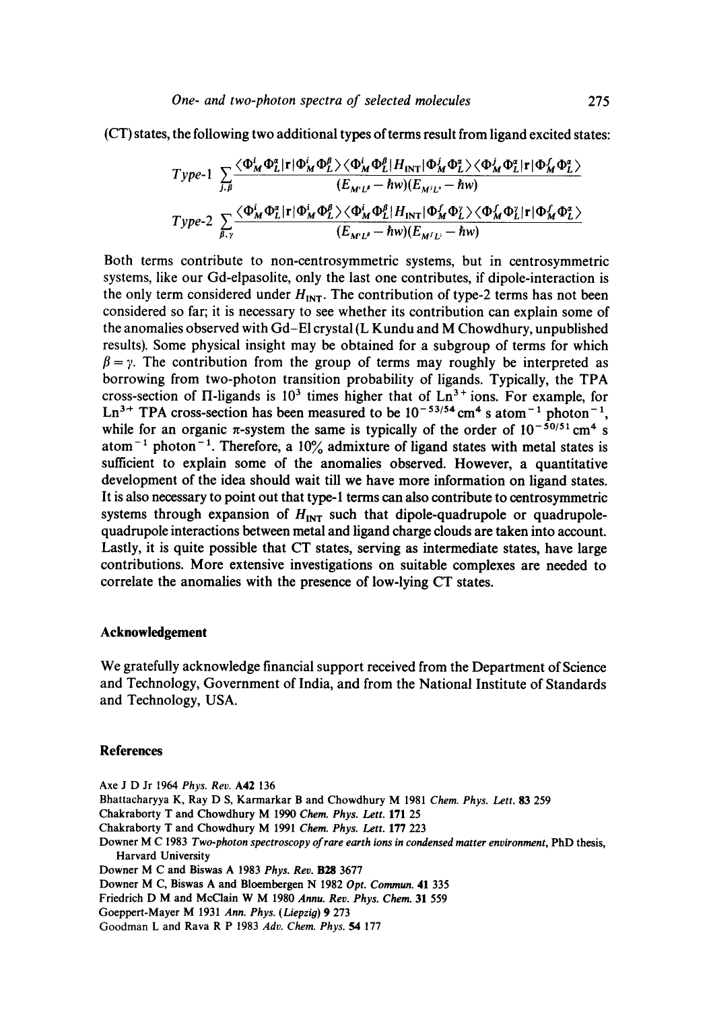(CT) states, the following two additional types of terms result from ligand excited states:

$$
\label{eq:TPP} \begin{aligned} \textit{Type-1}\ \ & \sum_{j,\beta} \frac{ \langle \Phi_M^i \Phi_L^a | \mathbf{r} | \Phi_M^i \Phi_L^{\beta} \rangle \langle \Phi_M^i \Phi_L^{\beta} | H_{\text{INT}} | \Phi_M^j \Phi_L^a \rangle \langle \Phi_M^i \Phi_L^a | \mathbf{r} | \Phi_M^f \Phi_L^a \rangle }{ (E_{M'L'} - \hbar w) (E_{M'L'} - \hbar w) } \\ \textit{Type-2}\ \ & \sum_{\beta,\gamma} \frac{ \langle \Phi_M^i \Phi_L^a | \mathbf{r} | \Phi_M^i \Phi_L^{\beta} \rangle \langle \Phi_M^i \Phi_L^{\beta} | H_{\text{INT}} | \Phi_M^f \Phi_L^a \rangle \langle \Phi_M^f \Phi_L^a | \mathbf{r} | \Phi_M^f \Phi_L^a \rangle }{ (E_{M'L'} - \hbar w) (E_{M/L'} - \hbar w) } \end{aligned}
$$

Both terms contribute to non-centrosymmetric systems, but in centrosymmetric systems, like our Gd-elpasolite, only the last one contributes, if dipole-interaction is the only term considered under  $H_{\text{INT}}$ . The contribution of type-2 terms has not been considered so far; it is necessary to see whether its contribution can explain some of the anomalies observed with Gd-EI crystal (L Kundu and M Chowdhury, unpublished results). Some physical insight may be obtained for a subgroup of terms for which  $\beta = \gamma$ . The contribution from the group of terms may roughly be interpreted as borrowing from two-photon transition probability of ligands. Typically, the TPA cross-section of  $\Pi$ -ligands is 10<sup>3</sup> times higher that of  $Ln^{3+}$  ions. For example, for Ln<sup>3+</sup> TPA cross-section has been measured to be  $10^{-53/54}$  cm<sup>4</sup> s atom<sup>-1</sup> photon<sup>-1</sup>, while for an organic  $\pi$ -system the same is typically of the order of  $10^{-50/51}$  cm<sup>4</sup> s atom<sup>-1</sup> photon<sup>-1</sup>. Therefore, a 10% admixture of ligand states with metal states is sufficient to explain some of the anomalies observed. However, a quantitative development of the idea should wait till we have more information on ligand states. It is also necessary to point out that type-1 terms can also contribute to centrosymmetric systems through expansion of  $H_{INT}$  such that dipole-quadrupole or quadrupolequadrupole interactions between metal and ligand charge clouds are taken into account. Lastly, it is quite possible that CT states, serving as intermediate states, have large contributions. More extensive investigations on suitable complexes are needed to correlate the anomalies with the presence of low-lying CT states.

#### **Acknowledgement**

We gratefully acknowledge financial support received from the Department of Science and Technology, Government of India, and from the National Institute of Standards and Technology, USA.

#### **References**

Axe J D Jr 1964 *Phys. Rev.* A42 136 Bhattacharyya K, Ray D S, Karmarkar B and Chowdhury M 1981 *Chem. Phys. Lett. 83* 259 Chakraborty T and Chowdhury M 1990 *Chem. Phys. Left.* 171 25 Chakraborty T and Chowdhury M 1991 *Chem. Phys. Lett.* 177 223 Downer M C 1983 *Two-photon spectroscopy of rare earth ions in condensed matter environment,* PhD thesis, Harvard University Downer M C and Biswas A 1983 *Phys. Rev.* B28 3677 Downer M C, Biswas A and Bloembergen N 1982 *Opt. Commun.* 41 335 Friedrich D M and McCiain W M 1980 *Annu. Rev. Phys. Chem.* 31 559 Goeppert-Mayer M 1931 Ann. Phys. (Liepzig) 9 273 Goodman L and Rava R P 1983 *Adv. Chem. Phys. 54* 177